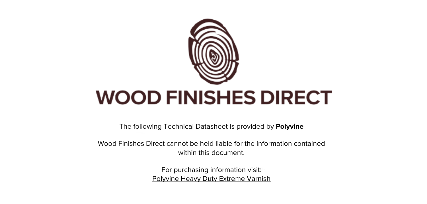

The following Technical Datasheet is provided by **Polyvine**

Wood Finishes Direct cannot be held liable for the information contained within this document

> For purchasing information visit: [Polyvine Heavy Duty Extreme Varnish](https://www.wood-finishes-direct.com/product/polyvine-heavy-duty-extreme-varnish)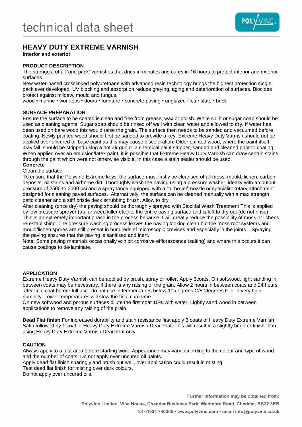

# **HEAVY DUTY EXTREME VARNISH**

**interior and exterior**

# **PRODUCT DESCRIPTION**

The strongest of all 'one pack' varnishes that dries in minutes and cures in 16 hours to protect interior and exterior surfaces

New water-based crosslinked polyurethane with advanced resin technology brings the highest protection single pack ever developed. UV blocking and absorption reduce greying, aging and deterioration of surfaces. Biocides protect against mildew, mould and fungus.

wood • marine • worktops • doors • furniture • concrete paving • unglazed tiles • slate • brick

# **SURFACE PREPARATION**

Ensure the surface to be coated is clean and free from grease, wax or polish. White spirit or sugar soap should be used as cleaning agents. Sugar soap should be rinsed off well with clean water and allowed to dry. If water has been used on bare wood this would raise the grain. The surface then needs to be sanded and vacuumed before coating. Newly painted wood should first be sanded to provide a key. Extreme Heavy Duty Varnish should not be applied over uncured oil base paint as this may cause discoloration. Older painted wood, where the paint itself may fail, should be stripped using a hot air gun or a chemical paint stripper, sanded and cleaned prior to coating. When applied over an emulsion/latex paint, it is possible that Extreme Heavy Duty Varnish can draw certain stains through the paint which were not otherwise visible. In this case a stain sealer should be used.

## **Concrete**

Clean the surface.

To ensure that the Polyvine Extreme keys, the surface must firstly be cleansed of all moss, mould, lichen, carbon deposits, oil stains and airborne dirt. Thoroughly wash the paving using a pressure washer, ideally with an output pressure of 2500 to 3000 psi and a spray lance equipped with a "turbo‐jet" nozzle or specialist rotary attachment designed for cleaning paved surfaces. Alternatively, the surface can be cleaned manually with a max strength patio cleaner and a stiff bristle deck scrubbing brush. Allow to dry.

After cleaning (once dry) the paving should be thoroughly sprayed with Biocidal Wash Treatment This is applied by low pressure sprayer (as for weed killer etc.) to the entire paving surface and is left to dry out (do not rinse). This is an extremely important phase in the process because it will greatly reduce the possibility of moss or lichens re-establishing. The pressure washing process leaves the paving looking clean but the moss root systems and mould/lichen spores are still present in hundreds of microscopic crevices and especially in the joints. Spraying the paving ensures that the paving is sanitised and inert.

Note: Some paving materials occasionally exhibit corrosive efflorescence (salting) and where this occurs it can cause coatings to de‐laminate.

# **APPLICATION**

Extreme Heavy Duty Varnish can be applied by brush, spray or roller. Apply 3coats. On softwood, light sanding in between coats may be necessary, if there is any raising of the grain. Allow 2 hours in between coats and 24 hours after final coat before full use. Do not use in temperatures below 10 degrees C/50degrees F or in very high humidity. Lower temperatures will slow the final cure time.

On new softwood and porous surfaces dilute the first coat 10% with water. Lightly sand wood in between applications to remove any raising of the grain.

**Dead Flat finish** For increased durability and stain resistance first apply 3 coats of Heavy Duty Extreme Varnish Satin followed by 1 coat of Heavy Duty Extreme Varnish Dead Flat. This will result in a slightly brighter finish than using Heavy Duty Extreme Varnish Dead Flat only.

# **CAUTION**

Always apply to a test area before starting work. Appearance may vary according to the colour and type of wood and the number of coats. Do not apply over uncured oil paints.

Apply dead flat finish sparingly and brush out well, over application could result in misting.

Test dead flat finish for misting over dark colours.

Do not apply over uncured oils.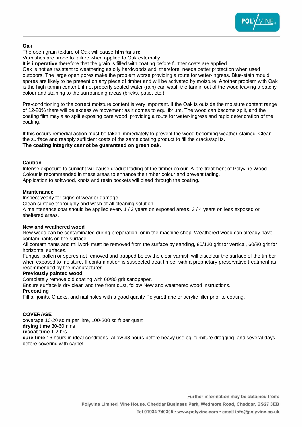

# **Oak**

The open grain texture of Oak will cause **film failure**.

Varnishes are prone to failure when applied to Oak externally.

It is **imperative** therefore that the grain is filled with coating before further coats are applied.

Oak is not as resistant to weathering as oily hardwoods and, therefore, needs better protection when used outdoors. The large open pores make the problem worse providing a route for water-ingress. Blue-stain mould spores are likely to be present on any piece of timber and will be activated by moisture. Another problem with Oak is the high tannin content, if not properly sealed water (rain) can wash the tannin out of the wood leaving a patchy colour and staining to the surrounding areas (bricks, patio, etc.).

Pre-conditioning to the correct moisture content is very important. If the Oak is outside the moisture content range of 12-20% there will be excessive movement as it comes to equilibrium. The wood can become split, and the coating film may also split exposing bare wood, providing a route for water-ingress and rapid deterioration of the coating.

If this occurs remedial action must be taken immediately to prevent the wood becoming weather-stained. Clean the surface and reapply sufficient coats of the same coating product to fill the cracks/splits. **The coating integrity cannot be guaranteed on green oak.** 

## **Caution**

Intense exposure to sunlight will cause gradual fading of the timber colour. A pre-treatment of Polyvine Wood Colour is recommended in these areas to enhance the timber colour and prevent fading. Application to softwood, knots and resin pockets will bleed through the coating.

## **Maintenance**

Inspect yearly for signs of wear or damage.

Clean surface thoroughly and wash of all cleaning solution.

A maintenance coat should be applied every 1 / 3 years on exposed areas, 3 / 4 years on less exposed or sheltered areas.

#### **New and weathered wood**

New wood can be contaminated during preparation, or in the machine shop. Weathered wood can already have contaminants on the surface.

All contaminants and millwork must be removed from the surface by sanding, 80/120 grit for vertical, 60/80 grit for horizontal surfaces.

Fungus, pollen or spores not removed and trapped below the clear varnish will discolour the surface of the timber when exposed to moisture. If contamination is suspected treat timber with a proprietary preservative treatment as recommended by the manufacturer.

# **Previously painted wood**

Completely remove old coating with 60/80 grit sandpaper.

Ensure surface is dry clean and free from dust, follow New and weathered wood instructions.

**Precoating**

Fill all joints, Cracks, and nail holes with a good quality Polyurethane or acrylic filler prior to coating.

# **COVERAGE**

coverage 10-20 sq m per litre, 100-200 sq ft per quart **drying time** 30-60mins

**recoat time** 1-2 hrs

**cure time** 16 hours in ideal conditions. Allow 48 hours before heavy use eg. furniture dragging, and several days before covering with carpet.